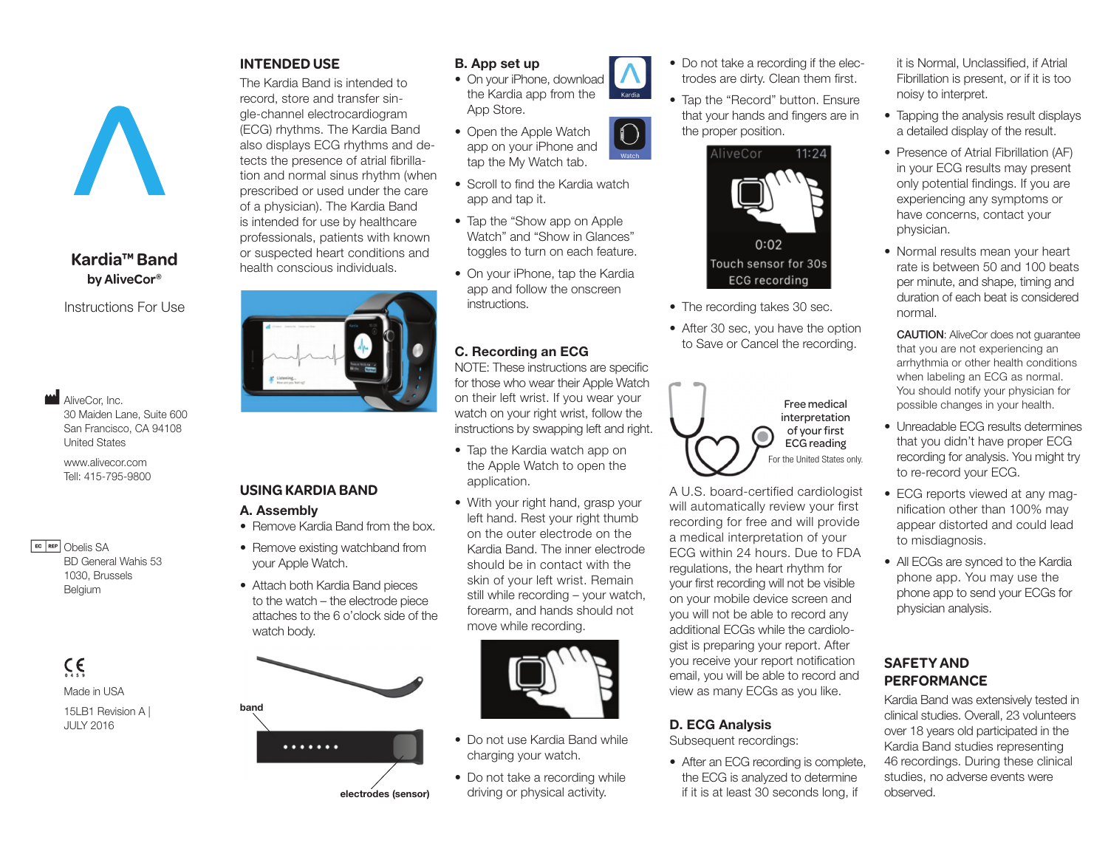# **Kardia™ Band by AliveCor®**

Instructions For Use

 $\blacksquare$  AliveCor, Inc. 30 Maiden Lane, Suite 600 San Francisco, CA 94108 United States

www.alivecor.com Tell: 415-795-9800

EC REP Obelis SA BD General Wahis 53 1030, Brussels Belgium

 $C \in$ 

Made in USA 15LB1 Revision A | JULY 2016

## **INTENDED USE**

The Kardia Band is intended to record, store and transfer single-channel electrocardiogram (ECG) rhythms. The Kardia Band also displays ECG rhythms and detects the presence of atrial fibrillation and normal sinus rhythm (when prescribed or used under the care of a physician). The Kardia Band is intended for use by healthcare professionals, patients with known or suspected heart conditions and health conscious individuals.



# **USING KARDIA BAND**

#### A. Assembly

- Remove Kardia Band from the box.
- Remove existing watchband from your Apple Watch.
- Attach both Kardia Band pieces to the watch – the electrode piece attaches to the 6 o'clock side of the watch body.



electrodes (sensor)

## B. App set up

- On your iPhone, download the Kardia app from the App Store.
- Open the Apple Watch app on your iPhone and tap the My Watch tab.
- Scroll to find the Kardia watch app and tap it.
- Tap the "Show app on Apple Watch" and "Show in Glances" toggles to turn on each feature.
- On your iPhone, tap the Kardia app and follow the onscreen instructions.

# C. Recording an ECG

NOTE: These instructions are specific for those who wear their Apple Watch on their left wrist. If you wear your watch on your right wrist, follow the instructions by swapping left and right.

- Tap the Kardia watch app on the Apple Watch to open the application.
- With your right hand, grasp your left hand. Rest your right thumb on the outer electrode on the Kardia Band. The inner electrode should be in contact with the skin of your left wrist. Remain still while recording – your watch, forearm, and hands should not move while recording.



- Do not use Kardia Band while charging your watch.
- Do not take a recording while driving or physical activity.
- Do not take a recording if the electrodes are dirty. Clean them first.
- Tap the "Record" button. Ensure that your hands and fingers are in the proper position.



- The recording takes 30 sec.
- After 30 sec, you have the option to Save or Cancel the recording.



A U.S. board-certified cardiologist will automatically review your first recording for free and will provide a medical interpretation of your ECG within 24 hours. Due to FDA regulations, the heart rhythm for your first recording will not be visible on your mobile device screen and you will not be able to record any additional ECGs while the cardiologist is preparing your report. After you receive your report notification email, you will be able to record and view as many ECGs as you like.

## D. ECG Analysis

Subsequent recordings:

• After an ECG recording is complete, the ECG is analyzed to determine if it is at least 30 seconds long, if

it is Normal, Unclassified, if Atrial Fibrillation is present, or if it is too noisy to interpret.

- Tapping the analysis result displays a detailed display of the result.
- Presence of Atrial Fibrillation (AF) in your ECG results may present only potential findings. If you are experiencing any symptoms or have concerns, contact your physician.
- Normal results mean your heart rate is between 50 and 100 beats per minute, and shape, timing and duration of each beat is considered normal.

CAUTION: AliveCor does not guarantee that you are not experiencing an arrhythmia or other health conditions when labeling an ECG as normal. You should notify your physician for possible changes in your health.

- Unreadable ECG results determines that you didn't have proper ECG recording for analysis. You might try to re-record your ECG.
- ECG reports viewed at any magnification other than 100% may appear distorted and could lead to misdiagnosis.
- All ECGs are synced to the Kardia phone app. You may use the phone app to send your ECGs for physician analysis.

## **SAFETY AND PERFORMANCE**

Kardia Band was extensively tested in clinical studies. Overall, 23 volunteers over 18 years old participated in the Kardia Band studies representing 46 recordings. During these clinical studies, no adverse events were observed.